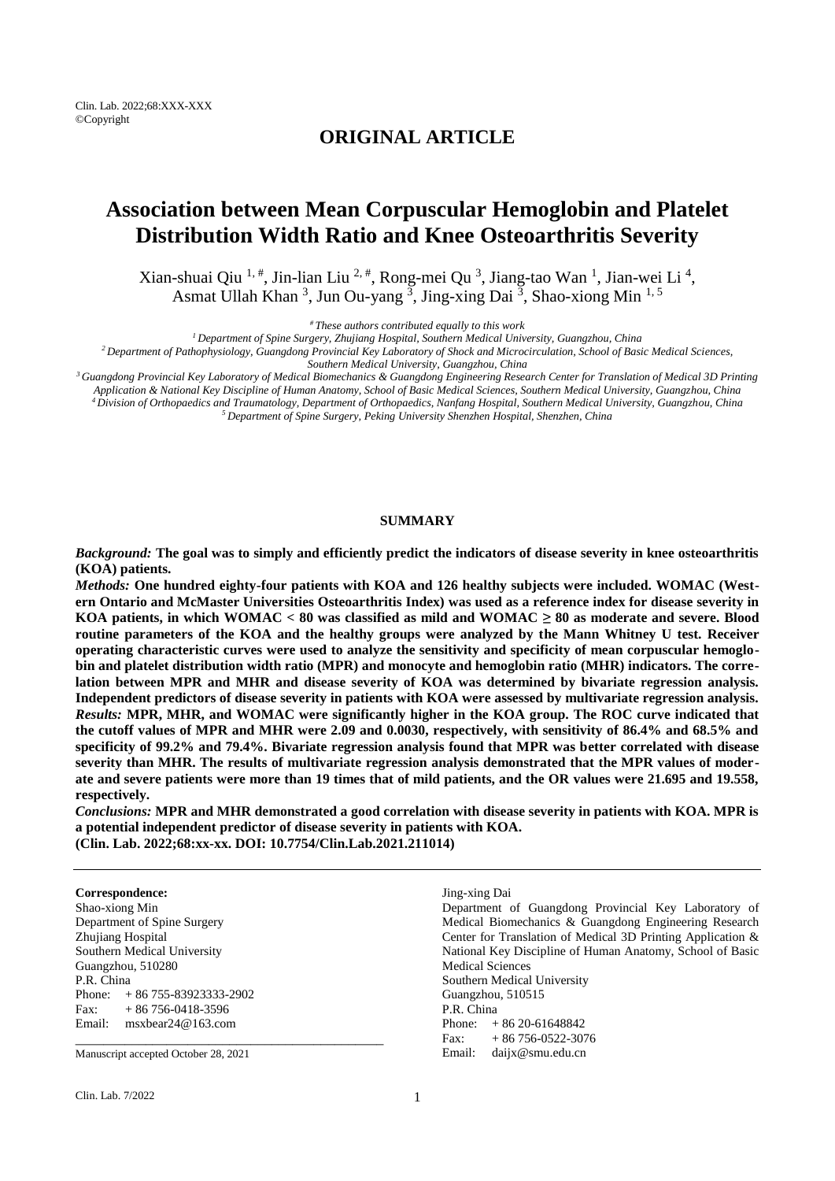Clin. Lab. 2022;68:XXX-XXX ©Copyright

# **ORIGINAL ARTICLE**

# **Association between Mean Corpuscular Hemoglobin and Platelet Distribution Width Ratio and Knee Osteoarthritis Severity**

Xian-shuai Qiu <sup>1, #</sup>, Jin-lian Liu <sup>2, #</sup>, Rong-mei Qu <sup>3</sup>, Jiang-tao Wan <sup>1</sup>, Jian-wei Li <sup>4</sup>, Asmat Ullah Khan<sup>3</sup>, Jun Ou-yang<sup>3</sup>, Jing-xing Dai<sup>3</sup>, Shao-xiong Min<sup>1,5</sup>

*# These authors contributed equally to this work*

*<sup>1</sup>Department of Spine Surgery, Zhujiang Hospital, Southern Medical University, Guangzhou, China*

*<sup>2</sup>Department of Pathophysiology, Guangdong Provincial Key Laboratory of Shock and Microcirculation, School of Basic Medical Sciences,* 

*Southern Medical University, Guangzhou, China*

*<sup>3</sup>Guangdong Provincial Key Laboratory of Medical Biomechanics & Guangdong Engineering Research Center for Translation of Medical 3D Printing* 

*Application & National Key Discipline of Human Anatomy, School of Basic Medical Sciences, Southern Medical University, Guangzhou, China <sup>4</sup>Division of Orthopaedics and Traumatology, Department of Orthopaedics, Nanfang Hospital, Southern Medical University, Guangzhou, China <sup>5</sup>Department of Spine Surgery, Peking University Shenzhen Hospital, Shenzhen, China*

# **SUMMARY**

*Background:* **The goal was to simply and efficiently predict the indicators of disease severity in knee osteoarthritis (KOA) patients.**

*Methods:* **One hundred eighty-four patients with KOA and 126 healthy subjects were included. WOMAC (Western Ontario and McMaster Universities Osteoarthritis Index) was used as a reference index for disease severity in KOA patients, in which WOMAC < 80 was classified as mild and WOMAC ≥ 80 as moderate and severe. Blood routine parameters of the KOA and the healthy groups were analyzed by the Mann Whitney U test. Receiver operating characteristic curves were used to analyze the sensitivity and specificity of mean corpuscular hemoglobin and platelet distribution width ratio (MPR) and monocyte and hemoglobin ratio (MHR) indicators. The correlation between MPR and MHR and disease severity of KOA was determined by bivariate regression analysis. Independent predictors of disease severity in patients with KOA were assessed by multivariate regression analysis.** *Results:* **MPR, MHR, and WOMAC were significantly higher in the KOA group. The ROC curve indicated that the cutoff values of MPR and MHR were 2.09 and 0.0030, respectively, with sensitivity of 86.4% and 68.5% and specificity of 99.2% and 79.4%. Bivariate regression analysis found that MPR was better correlated with disease severity than MHR. The results of multivariate regression analysis demonstrated that the MPR values of moderate and severe patients were more than 19 times that of mild patients, and the OR values were 21.695 and 19.558, respectively.**

*Conclusions:* **MPR and MHR demonstrated a good correlation with disease severity in patients with KOA. MPR is a potential independent predictor of disease severity in patients with KOA. (Clin. Lab. 2022;68:xx-xx. DOI: 10.7754/Clin.Lab.2021.211014)**

#### **Correspondence:**

Shao-xiong Min Department of Spine Surgery Zhujiang Hospital Southern Medical University Guangzhou, 510280 P.R. China Phone: + 86 755-83923333-2902 Fax:  $+86756-0418-3596$ Email: msxbear24@163.com \_\_\_\_\_\_\_\_\_\_\_\_\_\_\_\_\_\_\_\_\_\_\_\_\_\_\_\_\_\_\_\_\_\_\_\_\_\_\_\_\_\_\_\_

Manuscript accepted October 28, 2021

Clin. Lab. 7/2022 1

Jing-xing Dai

Department of Guangdong Provincial Key Laboratory of Medical Biomechanics & Guangdong Engineering Research Center for Translation of Medical 3D Printing Application & National Key Discipline of Human Anatomy, School of Basic Medical Sciences Southern Medical University Guangzhou, 510515 P.R. China Phone:  $+86\,20-61648842$ Fax:  $+86756-0522-3076$ Email: daijx@smu.edu.cn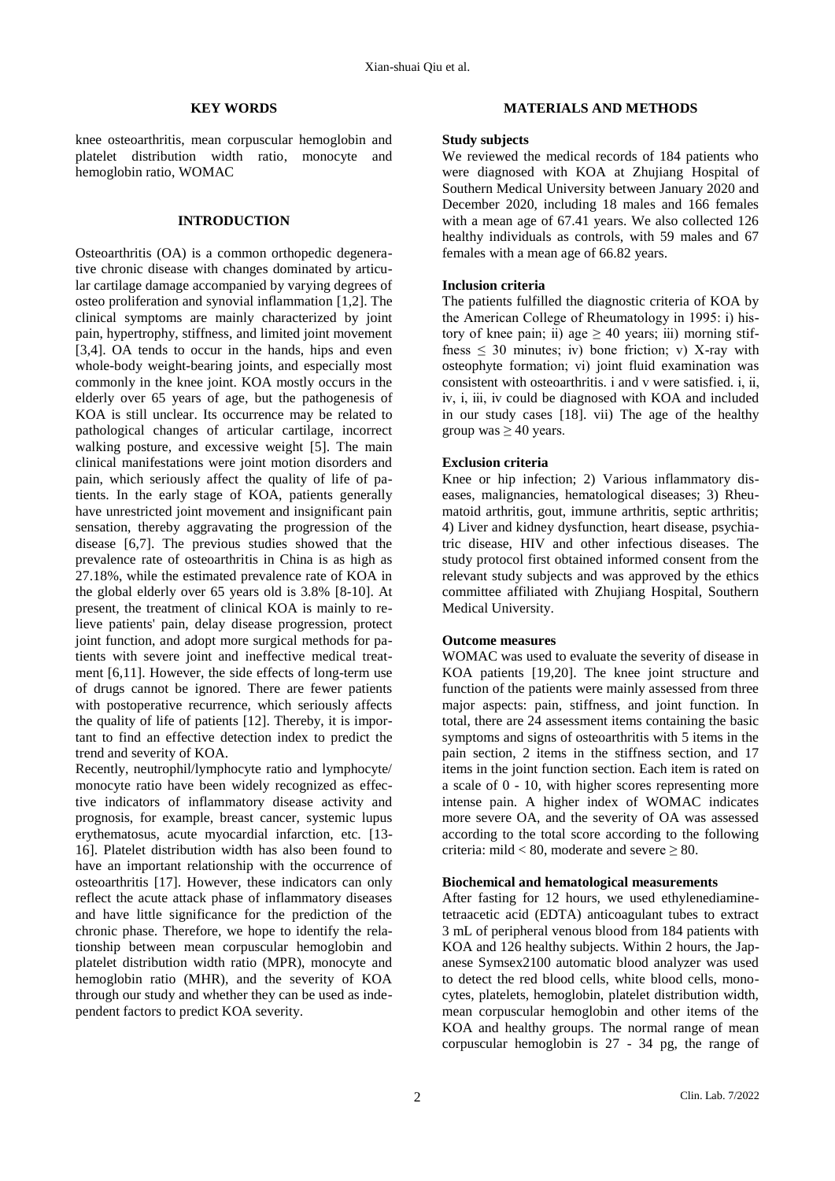#### **KEY WORDS**

knee osteoarthritis, mean corpuscular hemoglobin and platelet distribution width ratio, monocyte and hemoglobin ratio, WOMAC

### **INTRODUCTION**

Osteoarthritis (OA) is a common orthopedic degenerative chronic disease with changes dominated by articular cartilage damage accompanied by varying degrees of osteo proliferation and synovial inflammation [1,2]. The clinical symptoms are mainly characterized by joint pain, hypertrophy, stiffness, and limited joint movement [3,4]. OA tends to occur in the hands, hips and even whole-body weight-bearing joints, and especially most commonly in the knee joint. KOA mostly occurs in the elderly over 65 years of age, but the pathogenesis of KOA is still unclear. Its occurrence may be related to pathological changes of articular cartilage, incorrect walking posture, and excessive weight [5]. The main clinical manifestations were joint motion disorders and pain, which seriously affect the quality of life of patients. In the early stage of KOA, patients generally have unrestricted joint movement and insignificant pain sensation, thereby aggravating the progression of the disease [6,7]. The previous studies showed that the prevalence rate of osteoarthritis in China is as high as 27.18%, while the estimated prevalence rate of KOA in the global elderly over 65 years old is 3.8% [8-10]. At present, the treatment of clinical KOA is mainly to relieve patients' pain, delay disease progression, protect joint function, and adopt more surgical methods for patients with severe joint and ineffective medical treatment [6,11]. However, the side effects of long-term use of drugs cannot be ignored. There are fewer patients with postoperative recurrence, which seriously affects the quality of life of patients [12]. Thereby, it is important to find an effective detection index to predict the trend and severity of KOA.

Recently, neutrophil/lymphocyte ratio and lymphocyte/ monocyte ratio have been widely recognized as effective indicators of inflammatory disease activity and prognosis, for example, breast cancer, systemic lupus erythematosus, acute myocardial infarction, etc. [13- 16]. Platelet distribution width has also been found to have an important relationship with the occurrence of osteoarthritis [17]. However, these indicators can only reflect the acute attack phase of inflammatory diseases and have little significance for the prediction of the chronic phase. Therefore, we hope to identify the relationship between mean corpuscular hemoglobin and platelet distribution width ratio (MPR), monocyte and hemoglobin ratio (MHR), and the severity of KOA through our study and whether they can be used as independent factors to predict KOA severity.

## **MATERIALS AND METHODS**

#### **Study subjects**

We reviewed the medical records of 184 patients who were diagnosed with KOA at Zhujiang Hospital of Southern Medical University between January 2020 and December 2020, including 18 males and 166 females with a mean age of 67.41 years. We also collected 126 healthy individuals as controls, with 59 males and 67 females with a mean age of 66.82 years.

## **Inclusion criteria**

The patients fulfilled the diagnostic criteria of KOA by the American College of Rheumatology in 1995: i) history of knee pain; ii) age  $\geq$  40 years; iii) morning stiffness  $\leq$  30 minutes; iv) bone friction; v) X-ray with osteophyte formation; ⅵ) joint fluid examination was consistent with osteoarthritis, *i* and *v* were satisfied, *i*, *ii*, ⅳ, ⅰ, ⅲ, ⅳ could be diagnosed with KOA and included in our study cases [18]. vii) The age of the healthy group was  $\geq 40$  years.

#### **Exclusion criteria**

Knee or hip infection; 2) Various inflammatory diseases, malignancies, hematological diseases; 3) Rheumatoid arthritis, gout, immune arthritis, septic arthritis; 4) Liver and kidney dysfunction, heart disease, psychiatric disease, HIV and other infectious diseases. The study protocol first obtained informed consent from the relevant study subjects and was approved by the ethics committee affiliated with Zhujiang Hospital, Southern Medical University.

#### **Outcome measures**

WOMAC was used to evaluate the severity of disease in KOA patients [19,20]. The knee joint structure and function of the patients were mainly assessed from three major aspects: pain, stiffness, and joint function. In total, there are 24 assessment items containing the basic symptoms and signs of osteoarthritis with 5 items in the pain section, 2 items in the stiffness section, and 17 items in the joint function section. Each item is rated on a scale of 0 - 10, with higher scores representing more intense pain. A higher index of WOMAC indicates more severe OA, and the severity of OA was assessed according to the total score according to the following criteria: mild < 80, moderate and severe  $\geq 80$ .

# **Biochemical and hematological measurements**

After fasting for 12 hours, we used ethylenediaminetetraacetic acid (EDTA) anticoagulant tubes to extract 3 mL of peripheral venous blood from 184 patients with KOA and 126 healthy subjects. Within 2 hours, the Japanese Symsex2100 automatic blood analyzer was used to detect the red blood cells, white blood cells, monocytes, platelets, hemoglobin, platelet distribution width, mean corpuscular hemoglobin and other items of the KOA and healthy groups. The normal range of mean corpuscular hemoglobin is 27 - 34 pg, the range of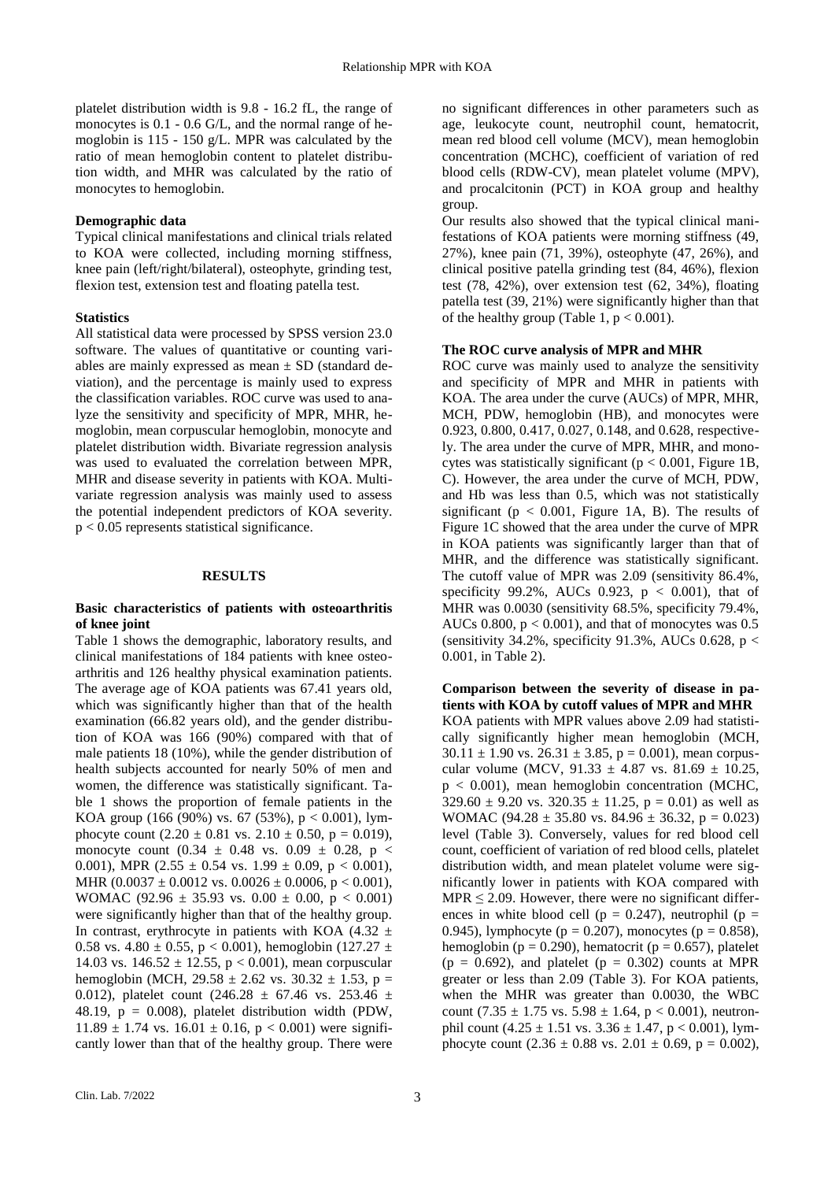platelet distribution width is 9.8 - 16.2 fL, the range of monocytes is 0.1 - 0.6 G/L, and the normal range of hemoglobin is 115 - 150 g/L. MPR was calculated by the ratio of mean hemoglobin content to platelet distribution width, and MHR was calculated by the ratio of monocytes to hemoglobin.

# **Demographic data**

Typical clinical manifestations and clinical trials related to KOA were collected, including morning stiffness, knee pain (left/right/bilateral), osteophyte, grinding test, flexion test, extension test and floating patella test.

# **Statistics**

All statistical data were processed by SPSS version 23.0 software. The values of quantitative or counting variables are mainly expressed as mean  $\pm$  SD (standard deviation), and the percentage is mainly used to express the classification variables. ROC curve was used to analyze the sensitivity and specificity of MPR, MHR, hemoglobin, mean corpuscular hemoglobin, monocyte and platelet distribution width. Bivariate regression analysis was used to evaluated the correlation between MPR, MHR and disease severity in patients with KOA. Multivariate regression analysis was mainly used to assess the potential independent predictors of KOA severity. p < 0.05 represents statistical significance.

# **RESULTS**

## **Basic characteristics of patients with osteoarthritis of knee joint**

Table 1 shows the demographic, laboratory results, and clinical manifestations of 184 patients with knee osteoarthritis and 126 healthy physical examination patients. The average age of KOA patients was 67.41 years old, which was significantly higher than that of the health examination (66.82 years old), and the gender distribution of KOA was 166 (90%) compared with that of male patients 18 (10%), while the gender distribution of health subjects accounted for nearly 50% of men and women, the difference was statistically significant. Table 1 shows the proportion of female patients in the KOA group (166 (90%) vs. 67 (53%),  $p < 0.001$ ), lymphocyte count  $(2.20 \pm 0.81 \text{ vs. } 2.10 \pm 0.50, \text{ p} = 0.019)$ , monocyte count  $(0.34 \pm 0.48 \text{ vs. } 0.09 \pm 0.28, \text{ p} <$ 0.001), MPR (2.55  $\pm$  0.54 vs. 1.99  $\pm$  0.09, p < 0.001), MHR  $(0.0037 \pm 0.0012 \text{ vs. } 0.0026 \pm 0.0006, \text{ p} < 0.001),$ WOMAC (92.96  $\pm$  35.93 vs. 0.00  $\pm$  0.00, p < 0.001) were significantly higher than that of the healthy group. In contrast, erythrocyte in patients with KOA (4.32  $\pm$ 0.58 vs.  $4.80 \pm 0.55$ , p < 0.001), hemoglobin (127.27  $\pm$ 14.03 vs.  $146.52 \pm 12.55$ , p < 0.001), mean corpuscular hemoglobin (MCH, 29.58  $\pm$  2.62 vs. 30.32  $\pm$  1.53, p = 0.012), platelet count  $(246.28 \pm 67.46 \text{ vs. } 253.46 \pm 12.5 \pm 1.5)$ 48.19,  $p = 0.008$ ), platelet distribution width (PDW,  $11.89 \pm 1.74$  vs.  $16.01 \pm 0.16$ ,  $p < 0.001$ ) were significantly lower than that of the healthy group. There were

no significant differences in other parameters such as age, leukocyte count, neutrophil count, hematocrit, mean red blood cell volume (MCV), mean hemoglobin concentration (MCHC), coefficient of variation of red blood cells (RDW-CV), mean platelet volume (MPV), and procalcitonin (PCT) in KOA group and healthy group.

Our results also showed that the typical clinical manifestations of KOA patients were morning stiffness (49, 27%), knee pain (71, 39%), osteophyte (47, 26%), and clinical positive patella grinding test (84, 46%), flexion test (78, 42%), over extension test (62, 34%), floating patella test (39, 21%) were significantly higher than that of the healthy group (Table 1,  $p < 0.001$ ).

# **The ROC curve analysis of MPR and MHR**

ROC curve was mainly used to analyze the sensitivity and specificity of MPR and MHR in patients with KOA. The area under the curve (AUCs) of MPR, MHR, MCH, PDW, hemoglobin (HB), and monocytes were 0.923, 0.800, 0.417, 0.027, 0.148, and 0.628, respectively. The area under the curve of MPR, MHR, and monocytes was statistically significant ( $p < 0.001$ , Figure 1B, C). However, the area under the curve of MCH, PDW, and Hb was less than 0.5, which was not statistically significant ( $p < 0.001$ , Figure 1A, B). The results of Figure 1C showed that the area under the curve of MPR in KOA patients was significantly larger than that of MHR, and the difference was statistically significant. The cutoff value of MPR was 2.09 (sensitivity 86.4%, specificity 99.2%, AUCs 0.923,  $p < 0.001$ ), that of MHR was 0.0030 (sensitivity 68.5%, specificity 79.4%, AUCs 0.800,  $p < 0.001$ ), and that of monocytes was 0.5 (sensitivity 34.2%, specificity 91.3%, AUCs 0.628,  $p <$ 0.001, in Table 2).

**Comparison between the severity of disease in patients with KOA by cutoff values of MPR and MHR** KOA patients with MPR values above 2.09 had statistically significantly higher mean hemoglobin (MCH,  $30.11 \pm 1.90$  vs.  $26.31 \pm 3.85$ , p = 0.001), mean corpuscular volume (MCV,  $91.33 \pm 4.87$  vs.  $81.69 \pm 10.25$ , p < 0.001), mean hemoglobin concentration (MCHC,  $329.60 \pm 9.20$  vs.  $320.35 \pm 11.25$ ,  $p = 0.01$ ) as well as WOMAC (94.28  $\pm$  35.80 vs. 84.96  $\pm$  36.32, p = 0.023) level (Table 3). Conversely, values for red blood cell count, coefficient of variation of red blood cells, platelet distribution width, and mean platelet volume were significantly lower in patients with KOA compared with  $MPR \leq 2.09$ . However, there were no significant differences in white blood cell ( $p = 0.247$ ), neutrophil ( $p =$ 0.945), lymphocyte ( $p = 0.207$ ), monocytes ( $p = 0.858$ ), hemoglobin ( $p = 0.290$ ), hematocrit ( $p = 0.657$ ), platelet  $(p = 0.692)$ , and platelet  $(p = 0.302)$  counts at MPR greater or less than 2.09 (Table 3). For KOA patients, when the MHR was greater than 0.0030, the WBC count (7.35  $\pm$  1.75 vs. 5.98  $\pm$  1.64, p < 0.001), neutronphil count  $(4.25 \pm 1.51 \text{ vs. } 3.36 \pm 1.47, \text{ p} < 0.001)$ , lymphocyte count  $(2.36 \pm 0.88 \text{ vs. } 2.01 \pm 0.69, \text{ p} = 0.002)$ ,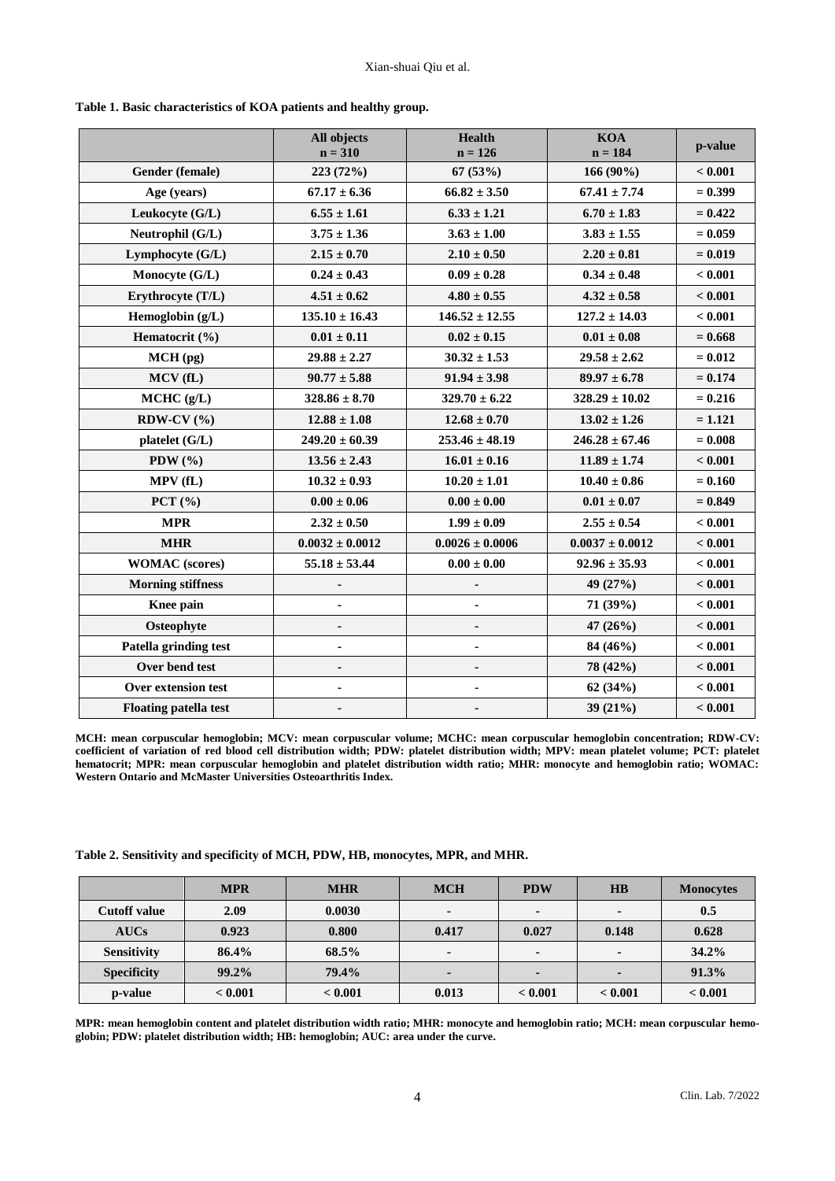|                              | All objects<br>$n = 310$ | <b>Health</b><br>$n = 126$           | <b>KOA</b><br>$n = 184$ | p-value   |
|------------------------------|--------------------------|--------------------------------------|-------------------------|-----------|
| Gender (female)              | 223 (72%)                | 67 (53%)                             | 166 (90%)               | < 0.001   |
| Age (years)                  | $67.17 \pm 6.36$         | $66.82 \pm 3.50$                     | $67.41 \pm 7.74$        |           |
| Leukocyte $(G/L)$            | $6.55 \pm 1.61$          | $6.33 \pm 1.21$                      | $6.70 \pm 1.83$         |           |
| Neutrophil (G/L)             | $3.75 \pm 1.36$          | $3.83 \pm 1.55$<br>$3.63 \pm 1.00$   |                         | $= 0.059$ |
| Lymphocyte (G/L)             | $2.15 \pm 0.70$          | $2.10 \pm 0.50$<br>$2.20 \pm 0.81$   |                         | $= 0.019$ |
| Monocyte (G/L)               | $0.24 \pm 0.43$          | $0.09 \pm 0.28$                      | $0.34 \pm 0.48$         |           |
| Erythrocyte (T/L)            | $4.51 \pm 0.62$          | $4.80 \pm 0.55$                      | $4.32 \pm 0.58$         | < 0.001   |
| Hemoglobin (g/L)             | $135.10 \pm 16.43$       | $146.52 \pm 12.55$                   | $127.2 \pm 14.03$       | < 0.001   |
| Hematocrit (%)               | $0.01 \pm 0.11$          | $0.02 \pm 0.15$                      | $0.01 \pm 0.08$         | $= 0.668$ |
| MCH(pg)                      | $29.88 \pm 2.27$         | $30.32 \pm 1.53$                     | $29.58 \pm 2.62$        | $= 0.012$ |
| MCV (fL)                     | $90.77 \pm 5.88$         | $91.94 \pm 3.98$                     | $89.97 \pm 6.78$        | $= 0.174$ |
| MCHC (g/L)                   | $328.86 \pm 8.70$        | $329.70 \pm 6.22$                    | $328.29 \pm 10.02$      | $= 0.216$ |
| RDW-CV $(%)$                 | $12.88 \pm 1.08$         | $12.68 \pm 0.70$                     | $13.02 \pm 1.26$        | $= 1.121$ |
| platelet (G/L)               | $249.20 \pm 60.39$       | $253.46 \pm 48.19$                   | $246.28 \pm 67.46$      | $= 0.008$ |
| PDW $(\% )$                  | $13.56 \pm 2.43$         | $16.01 \pm 0.16$<br>$11.89 \pm 1.74$ |                         | < 0.001   |
| MPV(fL)                      | $10.32 \pm 0.93$         | $10.20 \pm 1.01$                     | $10.40 \pm 0.86$        | $= 0.160$ |
| PCT $(\% )$                  | $0.00 \pm 0.06$          | $0.00 \pm 0.00$                      | $0.01 \pm 0.07$         | $= 0.849$ |
| <b>MPR</b>                   | $2.32\pm0.50$            | $1.99 \pm 0.09$                      | $2.55 \pm 0.54$         | < 0.001   |
| <b>MHR</b>                   | $0.0032 \pm 0.0012$      | $0.0026 \pm 0.0006$                  | $0.0037 \pm 0.0012$     | < 0.001   |
| <b>WOMAC</b> (scores)        | $55.18 \pm 53.44$        | $0.00 \pm 0.00$                      | $92.96 \pm 35.93$       | < 0.001   |
| <b>Morning stiffness</b>     | $\blacksquare$           |                                      | 49 (27%)                | < 0.001   |
| Knee pain                    | $\blacksquare$           |                                      | 71 (39%)                | < 0.001   |
| Osteophyte                   |                          |                                      | 47 $(26%)$              | < 0.001   |
| Patella grinding test        | $\blacksquare$           |                                      | 84 (46%)                | < 0.001   |
| Over bend test               | $\blacksquare$           |                                      | 78 (42%)                | < 0.001   |
| Over extension test          |                          |                                      | 62(34%)                 | < 0.001   |
| <b>Floating patella test</b> |                          |                                      | 39 (21%)                | < 0.001   |

**Table 1. Basic characteristics of KOA patients and healthy group.**

**MCH: mean corpuscular hemoglobin; MCV: mean corpuscular volume; MCHC: mean corpuscular hemoglobin concentration; RDW-CV: coefficient of variation of red blood cell distribution width; PDW: platelet distribution width; MPV: mean platelet volume; PCT: platelet hematocrit; MPR: mean corpuscular hemoglobin and platelet distribution width ratio; MHR: monocyte and hemoglobin ratio; WOMAC: Western Ontario and McMaster Universities Osteoarthritis Index.**

**Table 2. Sensitivity and specificity of MCH, PDW, HB, monocytes, MPR, and MHR.**

|                     | <b>MPR</b> | <b>MHR</b> | <b>MCH</b> | <b>PDW</b> | $\overline{AB}$          | <b>Monocytes</b> |
|---------------------|------------|------------|------------|------------|--------------------------|------------------|
| <b>Cutoff value</b> | 2.09       | 0.0030     |            | $\sim$     |                          | 0.5              |
| <b>AUCs</b>         | 0.923      | 0.800      | 0.417      | 0.027      | 0.148                    | 0.628            |
| <b>Sensitivity</b>  | 86.4%      | 68.5%      |            |            | $\overline{\phantom{a}}$ | $34.2\%$         |
| <b>Specificity</b>  | $99.2\%$   | 79.4%      |            | ۰.         | ۰.                       | 91.3%            |
| p-value             | < 0.001    | < 0.001    | 0.013      | < 0.001    | < 0.001                  | < 0.001          |

**MPR: mean hemoglobin content and platelet distribution width ratio; MHR: monocyte and hemoglobin ratio; MCH: mean corpuscular hemoglobin; PDW: platelet distribution width; HB: hemoglobin; AUC[: area under the curve.](http://www.baidu.com/link?url=oVycN27TCq9AZcTnE9jEEHf_Mhmk4w9hSgIefwEO5VXuKq5OLIl8bdJA5LI6M_w6VZ5OXaTUaUfcIwm8l8e27gioRR4yqq2qSLrkGI1VDvxf6c05flUjYuVO7mFh_U20)**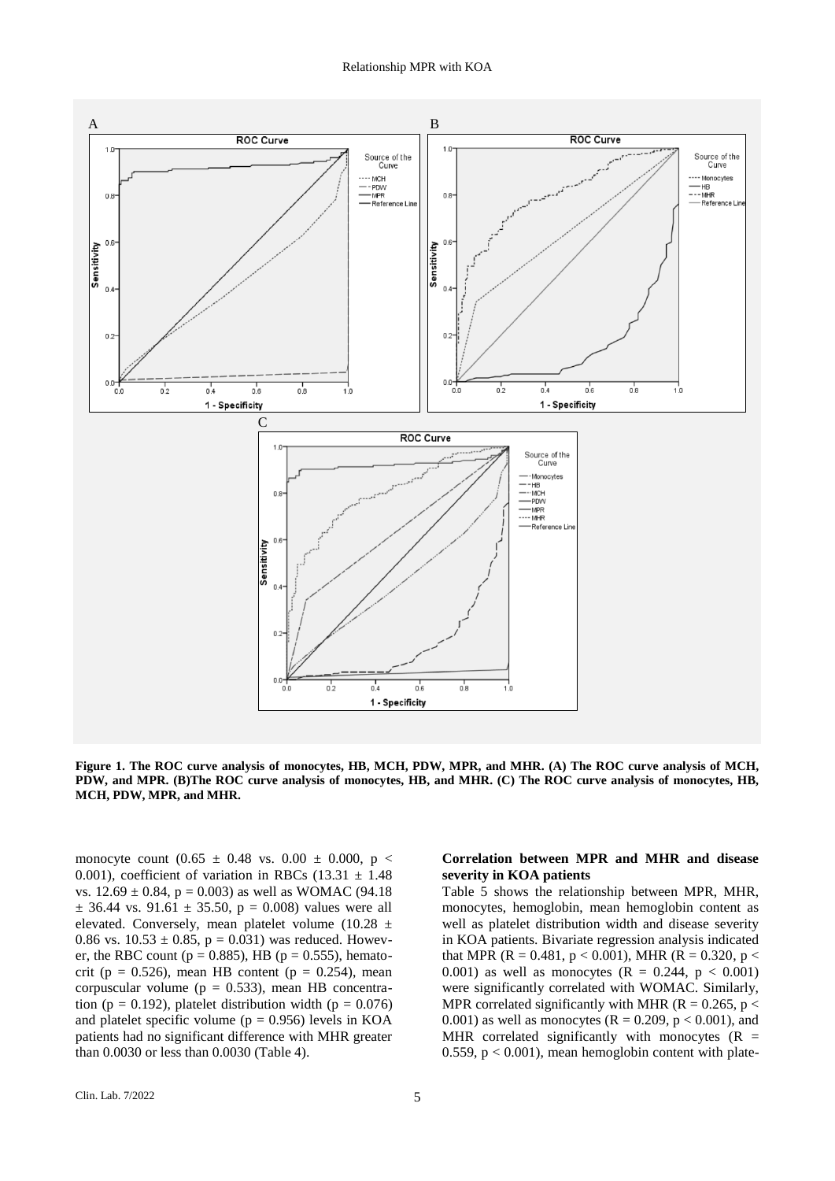

**Figure 1. The ROC curve analysis of monocytes, HB, MCH, PDW, MPR, and MHR. (A) The ROC curve analysis of MCH, PDW, and MPR. (B)The ROC curve analysis of monocytes, HB, and MHR. (C) The ROC curve analysis of monocytes, HB, MCH, PDW, MPR, and MHR.**

monocyte count  $(0.65 \pm 0.48 \text{ vs. } 0.00 \pm 0.000, \text{ p} <$ 0.001), coefficient of variation in RBCs  $(13.31 \pm 1.48)$ vs.  $12.69 \pm 0.84$ , p = 0.003) as well as WOMAC (94.18)  $\pm$  36.44 vs. 91.61  $\pm$  35.50, p = 0.008) values were all elevated. Conversely, mean platelet volume  $(10.28 \pm$ 0.86 vs.  $10.53 \pm 0.85$ , p = 0.031) was reduced. However, the RBC count ( $p = 0.885$ ), HB ( $p = 0.555$ ), hematocrit (p =  $0.526$ ), mean HB content (p =  $0.254$ ), mean corpuscular volume ( $p = 0.533$ ), mean HB concentration (p = 0.192), platelet distribution width (p =  $0.076$ ) and platelet specific volume ( $p = 0.956$ ) levels in KOA patients had no significant difference with MHR greater than 0.0030 or less than 0.0030 (Table 4).

# **Correlation between MPR and MHR and disease severity in KOA patients**

Table 5 shows the relationship between MPR, MHR, monocytes, hemoglobin, mean hemoglobin content as well as platelet distribution width and disease severity in KOA patients. Bivariate regression analysis indicated that MPR (R = 0.481, p < 0.001), MHR (R = 0.320, p < 0.001) as well as monocytes  $(R = 0.244, p < 0.001)$ were significantly correlated with WOMAC. Similarly, MPR correlated significantly with MHR ( $R = 0.265$ ,  $p <$ 0.001) as well as monocytes ( $R = 0.209$ ,  $p < 0.001$ ), and MHR correlated significantly with monocytes  $(R =$ 0.559,  $p < 0.001$ ), mean hemoglobin content with plate-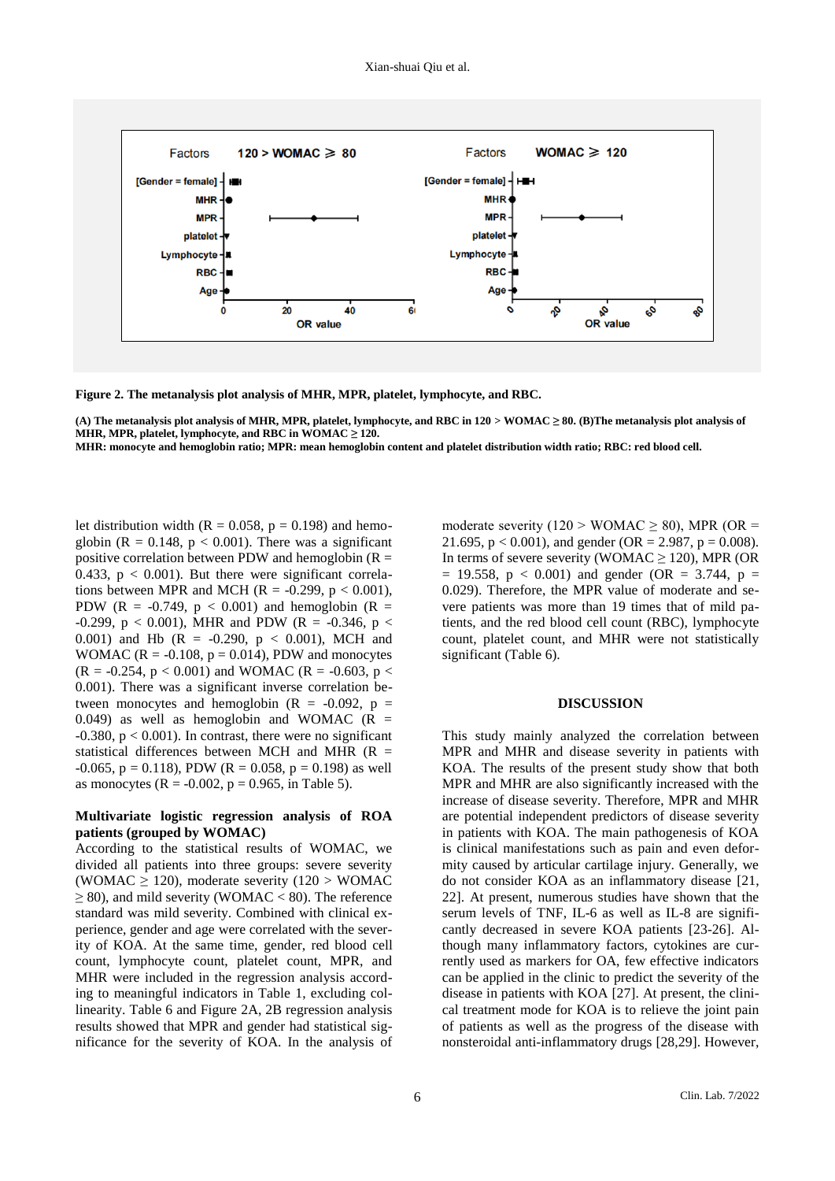

**Figure 2. The metanalysis plot analysis of MHR, MPR, platelet, lymphocyte, and RBC.** 

**(A) The metanalysis plot analysis of MHR, MPR, platelet, lymphocyte, and RBC in 120 > WOMAC ≥ 80. (B)The metanalysis plot analysis of MHR, MPR, platelet, lymphocyte, and RBC in WOMAC ≥ 120.**

**MHR: monocyte and hemoglobin ratio; MPR: mean hemoglobin content and platelet distribution width ratio; RBC: red blood cell.**

let distribution width ( $R = 0.058$ ,  $p = 0.198$ ) and hemoglobin ( $R = 0.148$ ,  $p < 0.001$ ). There was a significant positive correlation between PDW and hemoglobin ( $R =$ 0.433,  $p < 0.001$ ). But there were significant correlations between MPR and MCH ( $R = -0.299$ ,  $p < 0.001$ ), PDW (R =  $-0.749$ , p < 0.001) and hemoglobin (R = -0.299, p < 0.001), MHR and PDW (R = -0.346, p < 0.001) and Hb  $(R = -0.290, p < 0.001)$ , MCH and WOMAC ( $R = -0.108$ ,  $p = 0.014$ ), PDW and monocytes  $(R = -0.254, p < 0.001)$  and WOMAC  $(R = -0.603, p <$ 0.001). There was a significant inverse correlation between monocytes and hemoglobin  $(R = -0.092, p =$ 0.049) as well as hemoglobin and WOMAC  $(R =$ -0.380, p < 0.001). In contrast, there were no significant statistical differences between MCH and MHR  $(R =$  $-0.065$ , p = 0.118), PDW (R = 0.058, p = 0.198) as well as monocytes ( $R = -0.002$ ,  $p = 0.965$ , in Table 5).

## **Multivariate logistic regression analysis of ROA patients (grouped by WOMAC)**

According to the statistical results of WOMAC, we divided all patients into three groups: severe severity (WOMAC  $\geq$  120), moderate severity (120 > WOMAC  $\geq$  80), and mild severity (WOMAC < 80). The reference standard was mild severity. Combined with clinical experience, gender and age were correlated with the severity of KOA. At the same time, gender, red blood cell count, lymphocyte count, platelet count, MPR, and MHR were included in the regression analysis according to meaningful indicators in Table 1, excluding collinearity. Table 6 and Figure 2A, 2B regression analysis results showed that MPR and gender had statistical significance for the severity of KOA. In the analysis of

moderate severity (120 > WOMAC  $\geq$  80), MPR (OR = 21.695,  $p < 0.001$ ), and gender (OR = 2.987,  $p = 0.008$ ). In terms of severe severity (WOMAC  $\geq$  120), MPR (OR  $= 19.558$ ,  $p < 0.001$ ) and gender (OR  $= 3.744$ ,  $p =$ 0.029). Therefore, the MPR value of moderate and severe patients was more than 19 times that of mild patients, and the red blood cell count (RBC), lymphocyte count, platelet count, and MHR were not statistically significant (Table 6).

#### **DISCUSSION**

This study mainly analyzed the correlation between MPR and MHR and disease severity in patients with KOA. The results of the present study show that both MPR and MHR are also significantly increased with the increase of disease severity. Therefore, MPR and MHR are potential independent predictors of disease severity in patients with KOA. The main pathogenesis of KOA is clinical manifestations such as pain and even deformity caused by articular cartilage injury. Generally, we do not consider KOA as an inflammatory disease [21, 22]. At present, numerous studies have shown that the serum levels of TNF, IL-6 as well as IL-8 are significantly decreased in severe KOA patients [23-26]. Although many inflammatory factors, cytokines are currently used as markers for OA, few effective indicators can be applied in the clinic to predict the severity of the disease in patients with KOA [27]. At present, the clinical treatment mode for KOA is to relieve the joint pain of patients as well as the progress of the disease with nonsteroidal anti-inflammatory drugs [28,29]. However,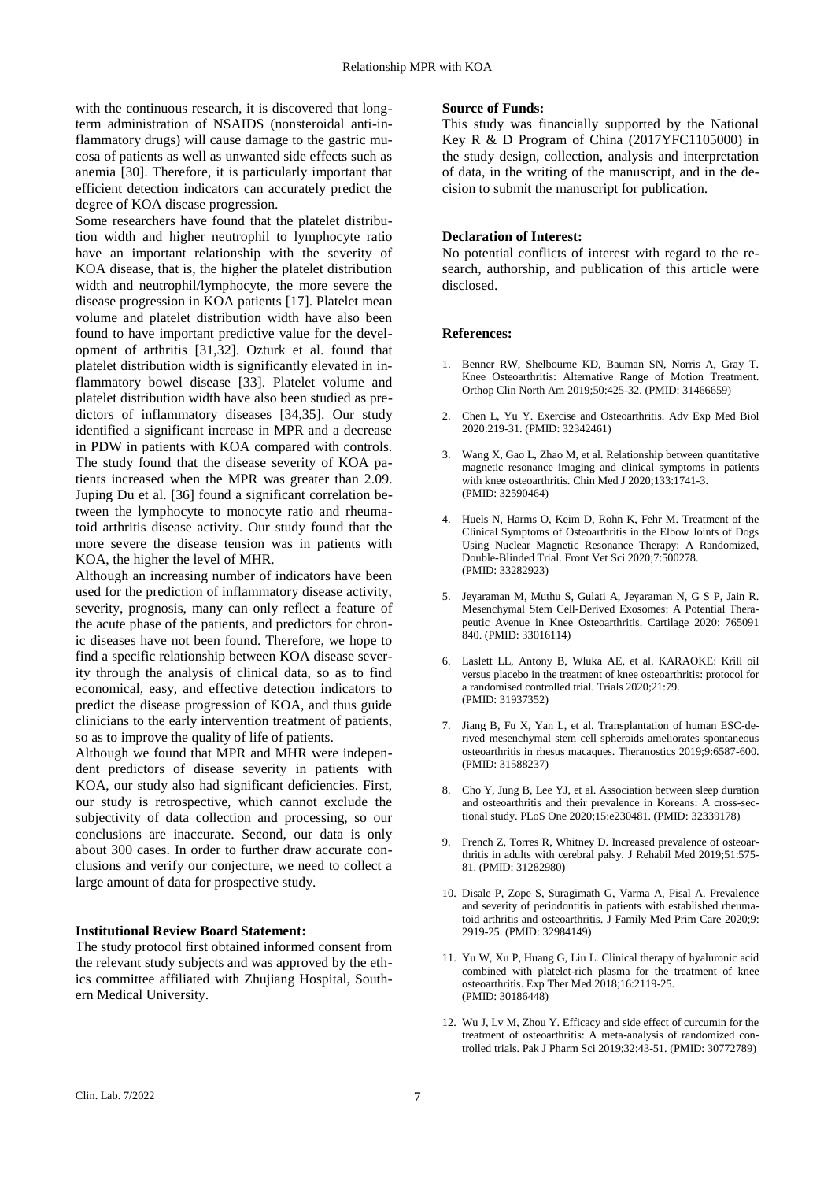with the continuous research, it is discovered that longterm administration of NSAIDS (nonsteroidal anti-inflammatory drugs) will cause damage to the gastric mucosa of patients as well as unwanted side effects such as anemia [30]. Therefore, it is particularly important that efficient detection indicators can accurately predict the degree of KOA disease progression.

Some researchers have found that the platelet distribution width and higher neutrophil to lymphocyte ratio have an important relationship with the severity of KOA disease, that is, the higher the platelet distribution width and neutrophil/lymphocyte, the more severe the disease progression in KOA patients [17]. Platelet mean volume and platelet distribution width have also been found to have important predictive value for the development of arthritis [31,32]. Ozturk et al. found that platelet distribution width is significantly elevated in inflammatory bowel disease [33]. Platelet volume and platelet distribution width have also been studied as predictors of inflammatory diseases [34,35]. Our study identified a significant increase in MPR and a decrease in PDW in patients with KOA compared with controls. The study found that the disease severity of KOA patients increased when the MPR was greater than 2.09. Juping Du et al. [36] found a significant correlation between the lymphocyte to monocyte ratio and rheumatoid arthritis disease activity. Our study found that the more severe the disease tension was in patients with KOA, the higher the level of MHR.

Although an increasing number of indicators have been used for the prediction of inflammatory disease activity, severity, prognosis, many can only reflect a feature of the acute phase of the patients, and predictors for chronic diseases have not been found. Therefore, we hope to find a specific relationship between KOA disease severity through the analysis of clinical data, so as to find economical, easy, and effective detection indicators to predict the disease progression of KOA, and thus guide clinicians to the early intervention treatment of patients, so as to improve the quality of life of patients.

Although we found that MPR and MHR were independent predictors of disease severity in patients with KOA, our study also had significant deficiencies. First, our study is retrospective, which cannot exclude the subjectivity of data collection and processing, so our conclusions are inaccurate. Second, our data is only about 300 cases. In order to further draw accurate conclusions and verify our conjecture, we need to collect a large amount of data for prospective study.

# **Institutional Review Board Statement:**

The study protocol first obtained informed consent from the relevant study subjects and was approved by the ethics committee affiliated with Zhujiang Hospital, Southern Medical University.

### **Source of Funds:**

This study was financially supported by the National Key R & D Program of China (2017YFC1105000) in the study design, collection, analysis and interpretation of data, in the writing of the manuscript, and in the decision to submit the manuscript for publication.

## **Declaration of Interest:**

No potential conflicts of interest with regard to the research, authorship, and publication of this article were disclosed.

### **References:**

- 1. Benner RW, Shelbourne KD, Bauman SN, Norris A, Gray T. Knee Osteoarthritis: Alternative Range of Motion Treatment. Orthop Clin North Am 2019;50:425-32. (PMID: 31466659)
- 2. Chen L, Yu Y. Exercise and Osteoarthritis. Adv Exp Med Biol 2020:219-31. (PMID: 32342461)
- 3. Wang X, Gao L, Zhao M, et al. Relationship between quantitative magnetic resonance imaging and clinical symptoms in patients with knee osteoarthritis. Chin Med J 2020;133:1741-3. (PMID: 32590464)
- 4. Huels N, Harms O, Keim D, Rohn K, Fehr M. Treatment of the Clinical Symptoms of Osteoarthritis in the Elbow Joints of Dogs Using Nuclear Magnetic Resonance Therapy: A Randomized, Double-Blinded Trial. Front Vet Sci 2020;7:500278. (PMID: 33282923)
- 5. Jeyaraman M, Muthu S, Gulati A, Jeyaraman N, G S P, Jain R. Mesenchymal Stem Cell-Derived Exosomes: A Potential Therapeutic Avenue in Knee Osteoarthritis. Cartilage 2020: 765091 840. (PMID: 33016114)
- 6. Laslett LL, Antony B, Wluka AE, et al. KARAOKE: Krill oil versus placebo in the treatment of knee osteoarthritis: protocol for a randomised controlled trial. Trials 2020;21:79. (PMID: 31937352)
- 7. Jiang B, Fu X, Yan L, et al. Transplantation of human ESC-derived mesenchymal stem cell spheroids ameliorates spontaneous osteoarthritis in rhesus macaques. Theranostics 2019;9:6587-600. (PMID: 31588237)
- 8. Cho Y, Jung B, Lee YJ, et al. Association between sleep duration and osteoarthritis and their prevalence in Koreans: A cross-sectional study. PLoS One 2020;15:e230481. (PMID: 32339178)
- 9. French Z, Torres R, Whitney D. Increased prevalence of osteoarthritis in adults with cerebral palsy. J Rehabil Med 2019;51:575- 81. (PMID: 31282980)
- 10. Disale P, Zope S, Suragimath G, Varma A, Pisal A. Prevalence and severity of periodontitis in patients with established rheumatoid arthritis and osteoarthritis. J Family Med Prim Care 2020;9: 2919-25. (PMID: 32984149)
- 11. Yu W, Xu P, Huang G, Liu L. Clinical therapy of hyaluronic acid combined with platelet-rich plasma for the treatment of knee osteoarthritis. Exp Ther Med 2018;16:2119-25. (PMID: 30186448)
- 12. Wu J, Lv M, Zhou Y. Efficacy and side effect of curcumin for the treatment of osteoarthritis: A meta-analysis of randomized controlled trials. Pak J Pharm Sci 2019;32:43-51. (PMID: 30772789)